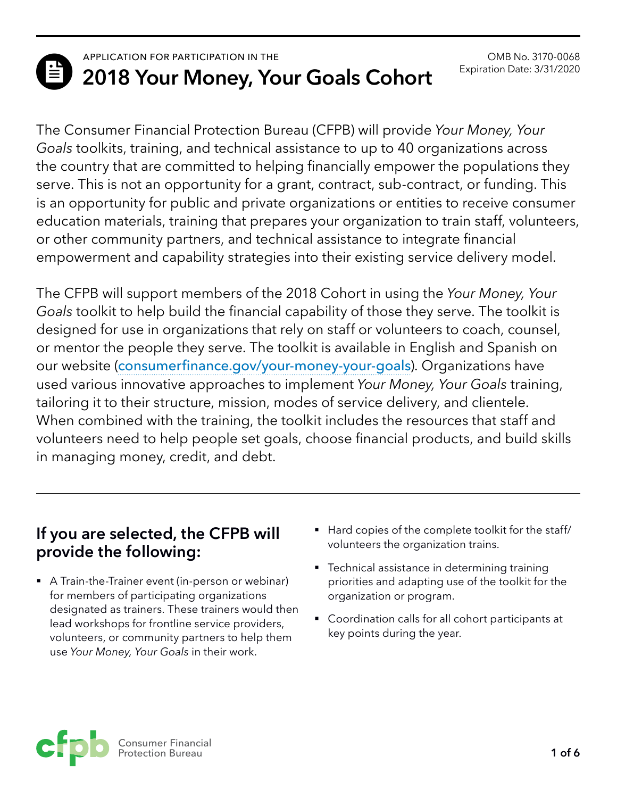

# **ED** APPLICATION FOR PARTICIPATION IN THE **2018 Your Money, Your Goals Cohort**

The Consumer Financial Protection Bureau (CFPB) will provide *Your Money, Your Goals* toolkits, training, and technical assistance to up to 40 organizations across the country that are committed to helping financially empower the populations they serve. This is not an opportunity for a grant, contract, sub-contract, or funding. This is an opportunity for public and private organizations or entities to receive consumer education materials, training that prepares your organization to train staff, volunteers, or other community partners, and technical assistance to integrate financial empowerment and capability strategies into their existing service delivery model.

The CFPB will support members of the 2018 Cohort in using the *Your Money, Your Goals* toolkit to help build the financial capability of those they serve. The toolkit is designed for use in organizations that rely on staff or volunteers to coach, counsel, or mentor the people they serve. The toolkit is available in English and Spanish on our website ([consumerfinance.gov/your-money-your-goals](http://consumerfinance.gov/your-money-your-goals)). Organizations have used various innovative approaches to implement *Your Money, Your Goals* training, tailoring it to their structure, mission, modes of service delivery, and clientele. When combined with the training, the toolkit includes the resources that staff and volunteers need to help people set goals, choose financial products, and build skills in managing money, credit, and debt.

## **If you are selected, the CFPB will provide the following:**

- A Train-the-Trainer event (in-person or webinar) for members of participating organizations designated as trainers. These trainers would then lead workshops for frontline service providers, volunteers, or community partners to help them use *Your Money, Your Goals* in their work.
- Hard copies of the complete toolkit for the staff/ volunteers the organization trains.
- Technical assistance in determining training priorities and adapting use of the toolkit for the organization or program.
- Coordination calls for all cohort participants at key points during the year.

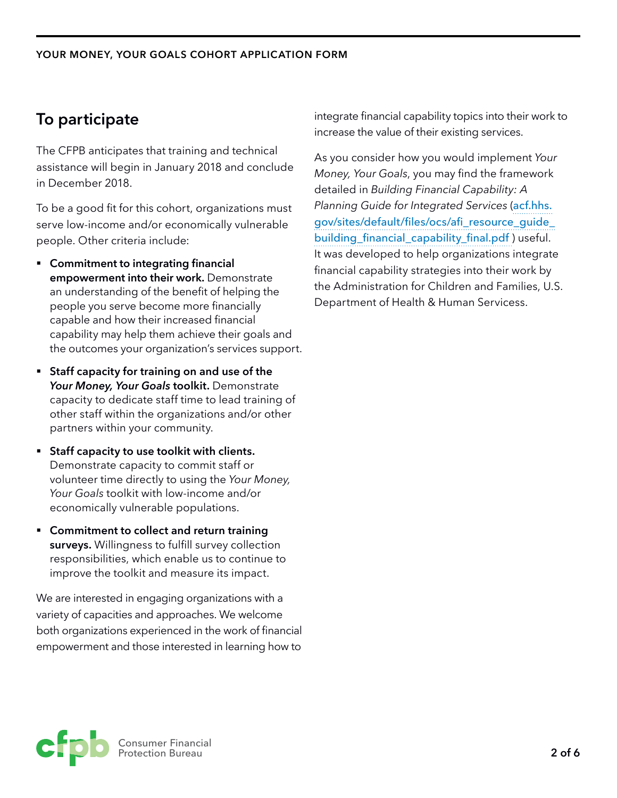# **To participate**

The CFPB anticipates that training and technical assistance will begin in January 2018 and conclude in December 2018.

To be a good fit for this cohort, organizations must serve low-income and/or economically vulnerable people. Other criteria include:

- § **Commitment to integrating financial empowerment into their work.** Demonstrate an understanding of the benefit of helping the people you serve become more financially capable and how their increased financial capability may help them achieve their goals and the outcomes your organization's services support.
- § **Staff capacity for training on and use of the**  *Your Money, Your Goals* **toolkit.** Demonstrate capacity to dedicate staff time to lead training of other staff within the organizations and/or other partners within your community.
- § **Staff capacity to use toolkit with clients.**  Demonstrate capacity to commit staff or volunteer time directly to using the *Your Money, Your Goals* toolkit with low-income and/or economically vulnerable populations.
- § **Commitment to collect and return training surveys.** Willingness to fulfill survey collection responsibilities, which enable us to continue to improve the toolkit and measure its impact.

We are interested in engaging organizations with a variety of capacities and approaches. We welcome both organizations experienced in the work of financial empowerment and those interested in learning how to integrate financial capability topics into their work to increase the value of their existing services.

As you consider how you would implement *Your Money, Your Goals*, you may find the framework detailed in *Building Financial Capability: A Planning Guide for Integrated Services* ([acf.hhs.](http://acf.hhs.gov/sites/default/files/ocs/afi_resource_guide_building_financial_capability_final.pdf) [gov/sites/default/files/ocs/afi\\_resource\\_guide\\_](http://acf.hhs.gov/sites/default/files/ocs/afi_resource_guide_building_financial_capability_final.pdf) [building\\_financial\\_capability\\_final.pdf](http://acf.hhs.gov/sites/default/files/ocs/afi_resource_guide_building_financial_capability_final.pdf) ) useful. It was developed to help organizations integrate financial capability strategies into their work by the Administration for Children and Families, U.S. Department of Health & Human Servicess.

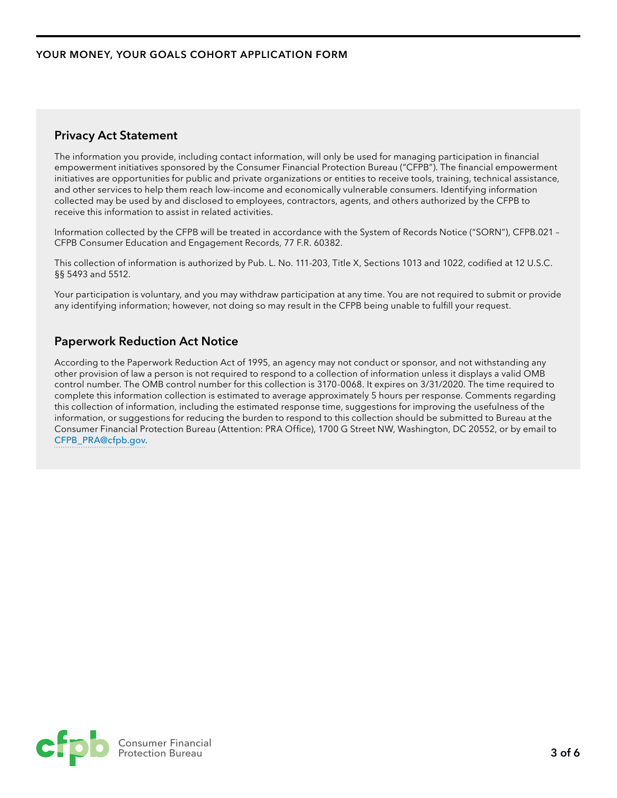#### **Privacy Act Statement**

The information you provide, including contact information, will only be used for managing participation in financial empowerment initiatives sponsored by the Consumer Financial Protection Bureau ("CFPB"). The financial empowerment initiatives are opportunities for public and private organizations or entities to receive tools, training, technical assistance, and other services to help them reach low-income and economically vulnerable consumers. Identifying information collected may be used by and disclosed to employees, contractors, agents, and others authorized by the CFPB to receive this information to assist in related activities.

Information collected by the CFPB will be treated in accordance with the System of Records Notice ("SORN"), CFPB.021 – CFPB Consumer Education and Engagement Records, 77 F.R. 60382.

This collection of information is authorized by Pub. L. No. 111-203, Title X, Sections 1013 and 1022, codified at 12 U.S.C. §§ 5493 and 5512.

Your participation is voluntary, and you may withdraw participation at any time. You are not required to submit or provide any identifying information; however, not doing so may result in the CFPB being unable to fulfill your request.

#### **Paperwork Reduction Act Notice**

According to the Paperwork Reduction Act of 1995, an agency may not conduct or sponsor, and not withstanding any other provision of law a person is not required to respond to a collection of information unless it displays a valid OMB control number. The OMB control number for this collection is 3170-0068. It expires on 3/31/2020. The time required to complete this information collection is estimated to average approximately 5 hours per response. Comments regarding this collection of information, including the estimated response time, suggestions for improving the usefulness of the information, or suggestions for reducing the burden to respond to this collection should be submitted to Bureau at the Consumer Financial Protection Bureau (Attention: PRA Office), 1700 G Street NW, Washington, DC 20552, or by email to [CFPB\\_PRA@cfpb.gov](mailto:CFPB_PRA%40cfpb.gov?subject=).

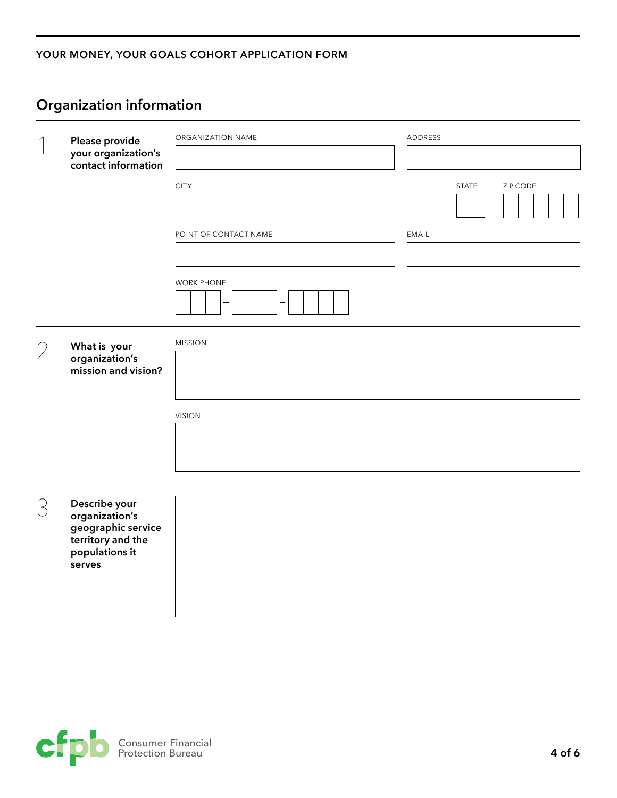#### **YOUR MONEY, YOUR GOALS COHORT APPLICATION FORM**

|   | Please provide<br>your organization's<br>contact information                                           | ORGANIZATION NAME     | ADDRESS                  |
|---|--------------------------------------------------------------------------------------------------------|-----------------------|--------------------------|
|   |                                                                                                        | <b>CITY</b>           | <b>STATE</b><br>ZIP CODE |
|   |                                                                                                        | POINT OF CONTACT NAME | EMAIL                    |
|   |                                                                                                        | <b>WORK PHONE</b>     |                          |
| 2 | What is your<br>organization's<br>mission and vision?                                                  | <b>MISSION</b>        |                          |
|   |                                                                                                        | <b>VISION</b>         |                          |
|   |                                                                                                        |                       |                          |
|   |                                                                                                        |                       |                          |
| 3 | Describe your<br>organization's<br>geographic service<br>territory and the<br>populations it<br>serves |                       |                          |

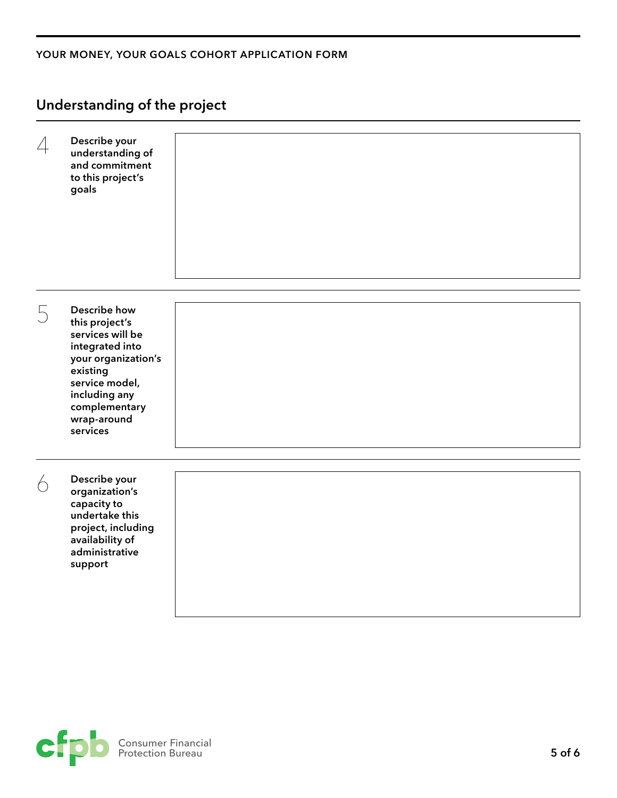#### **YOUR MONEY, YOUR GOALS COHORT APPLICATION FORM**

## **Understanding of the project**

| 4          | Describe your<br>understanding of<br>and commitment<br>to this project's<br>goals                                                                                                       |  |
|------------|-----------------------------------------------------------------------------------------------------------------------------------------------------------------------------------------|--|
| 5          | Describe how<br>this project's<br>services will be<br>integrated into<br>your organization's<br>existing<br>service model,<br>including any<br>complementary<br>wrap-around<br>services |  |
| $\bigcirc$ | Describe your<br>organization's<br>capacity to<br>undertake this<br>project, including<br>availability of<br>administrative<br>support                                                  |  |